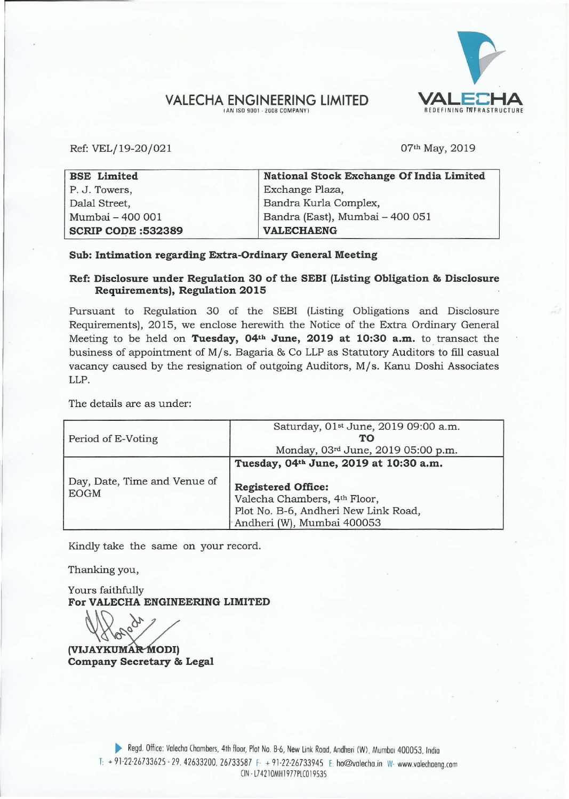## VALECHA ENGINEERING LIMITED<br>
AN ISO 9001 - 2008 COMPANY)  $!$  **AN ISO 9001 - 2008 COMPANY**

Ref: VEL/19-20/021

07th May, 2019

| <b>BSE</b> Limited        | National Stock Exchange Of India Limited |
|---------------------------|------------------------------------------|
| P. J. Towers,             | Exchange Plaza,                          |
| Dalal Street,             | Bandra Kurla Complex,                    |
| Mumbai - 400 001          | Bandra (East), Mumbai - 400 051          |
| <b>SCRIP CODE: 532389</b> | <b>VALECHAENG</b>                        |

# **Sub: Intimation regarding Extra-Ordinary General Meeting**

# **Ref: Disclosure under Regulation 30 of the SEBI (Listing Obligation & Disclosure Requirements), Regulation 2015**

Pursuant to Regulation 30 of the SEBI (Listing Obligations and Disclosure Requirements), 2015, we enclose herewith the Notice of the Extra Ordinary General Meeting to be held on Tuesday, 04<sup>th</sup> June, 2019 at 10:30 a.m. to transact the business of appointment of *Mis.* Bagaria & Co LLP as Statutory Auditors to fill casual vacancy caused by the resignation of outgoing Auditors, *Mis.* Kanu Doshi Associates LLP.

The details are as under:

| Period of E-Voting                          | Saturday, 01st June, 2019 09:00 a.m.<br>TО<br>Monday, 03rd June, 2019 05:00 p.m.                                                                                          |  |  |  |
|---------------------------------------------|---------------------------------------------------------------------------------------------------------------------------------------------------------------------------|--|--|--|
| Day, Date, Time and Venue of<br><b>EOGM</b> | Tuesday, 04th June, 2019 at 10:30 a.m.<br><b>Registered Office:</b><br>Valecha Chambers, 4th Floor,<br>Plot No. B-6, Andheri New Link Road,<br>Andheri (W), Mumbai 400053 |  |  |  |

Kindly take the same on your record.

Thanking you,

Yours faithfully **For VALECHA ENGINEERING LIMITED** 

**(VIJAYKUMAR MODI) Company Secretary & Legal**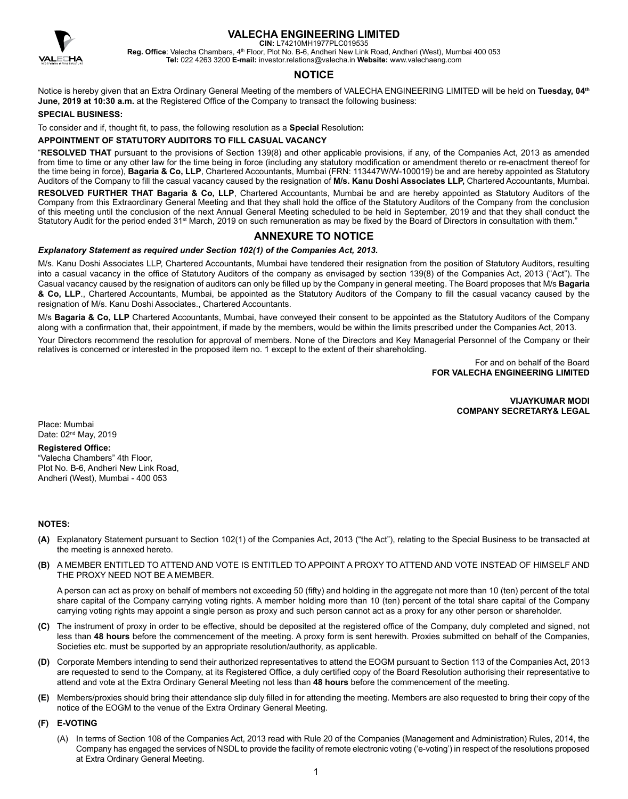

**CIN:** L74210MH1977PLC019535

Reg. Office: Valecha Chambers, 4<sup>th</sup> Floor, Plot No. B-6, Andheri New Link Road, Andheri (West), Mumbai 400 053 **Tel:** 022 4263 3200 **E-mail:** investor.relations@valecha.in **Website:** www.valechaeng.com

## **NOTICE**

Notice is hereby given that an Extra Ordinary General Meeting of the members of VALECHA ENGINEERING LIMITED will be held on **Tuesday, 04th June, 2019 at 10:30 a.m.** at the Registered Office of the Company to transact the following business:

#### **SPECIAL BUSINESS:**

To consider and if, thought fit, to pass, the following resolution as a **Special** Resolution**:**

#### **APPOINTMENT OF STATUTORY AUDITORS TO FILL CASUAL VACANCY**

"**RESOLVED THAT** pursuant to the provisions of Section 139(8) and other applicable provisions, if any, of the Companies Act, 2013 as amended from time to time or any other law for the time being in force (including any statutory modification or amendment thereto or re-enactment thereof for the time being in force), **Bagaria & Co, LLP**, Chartered Accountants, Mumbai (FRN: 113447W/W-100019) be and are hereby appointed as Statutory Auditors of the Company to fill the casual vacancy caused by the resignation of **M/s. Kanu Doshi Associates LLP,** Chartered Accountants, Mumbai.

**RESOLVED FURTHER THAT Bagaria & Co, LLP**, Chartered Accountants, Mumbai be and are hereby appointed as Statutory Auditors of the Company from this Extraordinary General Meeting and that they shall hold the office of the Statutory Auditors of the Company from the conclusion of this meeting until the conclusion of the next Annual General Meeting scheduled to be held in September, 2019 and that they shall conduct the Statutory Audit for the period ended 31<sup>st</sup> March, 2019 on such remuneration as may be fixed by the Board of Directors in consultation with them."

## **ANNEXURE TO NOTICE**

#### *Explanatory Statement as required under Section 102(1) of the Companies Act, 2013.*

M/s. Kanu Doshi Associates LLP, Chartered Accountants, Mumbai have tendered their resignation from the position of Statutory Auditors, resulting into a casual vacancy in the office of Statutory Auditors of the company as envisaged by section 139(8) of the Companies Act, 2013 ("Act"). The Casual vacancy caused by the resignation of auditors can only be filled up by the Company in general meeting. The Board proposes that M/s **Bagaria & Co, LLP**., Chartered Accountants, Mumbai, be appointed as the Statutory Auditors of the Company to fill the casual vacancy caused by the resignation of M/s. Kanu Doshi Associates., Chartered Accountants.

M/s **Bagaria & Co, LLP** Chartered Accountants, Mumbai, have conveyed their consent to be appointed as the Statutory Auditors of the Company along with a confirmation that, their appointment, if made by the members, would be within the limits prescribed under the Companies Act, 2013.

Your Directors recommend the resolution for approval of members. None of the Directors and Key Managerial Personnel of the Company or their relatives is concerned or interested in the proposed item no. 1 except to the extent of their shareholding.

> For and on behalf of the Board **FOR VALECHA ENGINEERING LIMITED**

> > **VIJAYKUMAR MODI COMPANY SECRETARY& LEGAL**

Place: Mumbai Date: 02<sup>nd</sup> May, 2019

#### **Registered Office:**

"Valecha Chambers" 4th Floor, Plot No. B-6, Andheri New Link Road, Andheri (West), Mumbai - 400 053

#### **NOTES:**

- **(A)** Explanatory Statement pursuant to Section 102(1) of the Companies Act, 2013 ("the Act"), relating to the Special Business to be transacted at the meeting is annexed hereto.
- **(B)** A MEMBER ENTITLED TO ATTEND AND VOTE IS ENTITLED TO APPOINT A PROXY TO ATTEND AND VOTE INSTEAD OF HIMSELF AND THE PROXY NEED NOT BE A MEMBER.

A person can act as proxy on behalf of members not exceeding 50 (fifty) and holding in the aggregate not more than 10 (ten) percent of the total share capital of the Company carrying voting rights. A member holding more than 10 (ten) percent of the total share capital of the Company carrying voting rights may appoint a single person as proxy and such person cannot act as a proxy for any other person or shareholder.

- **(C)** The instrument of proxy in order to be effective, should be deposited at the registered office of the Company, duly completed and signed, not less than **48 hours** before the commencement of the meeting. A proxy form is sent herewith. Proxies submitted on behalf of the Companies, Societies etc. must be supported by an appropriate resolution/authority, as applicable.
- **(D)** Corporate Members intending to send their authorized representatives to attend the EOGM pursuant to Section 113 of the Companies Act, 2013 are requested to send to the Company, at its Registered Office, a duly certified copy of the Board Resolution authorising their representative to attend and vote at the Extra Ordinary General Meeting not less than **48 hours** before the commencement of the meeting.
- **(E)** Members/proxies should bring their attendance slip duly filled in for attending the meeting. Members are also requested to bring their copy of the notice of the EOGM to the venue of the Extra Ordinary General Meeting.

#### **(F) E-VOTING**

(A) In terms of Section 108 of the Companies Act, 2013 read with Rule 20 of the Companies (Management and Administration) Rules, 2014, the Company has engaged the services of NSDL to provide the facility of remote electronic voting ('e-voting') in respect of the resolutions proposed at Extra Ordinary General Meeting.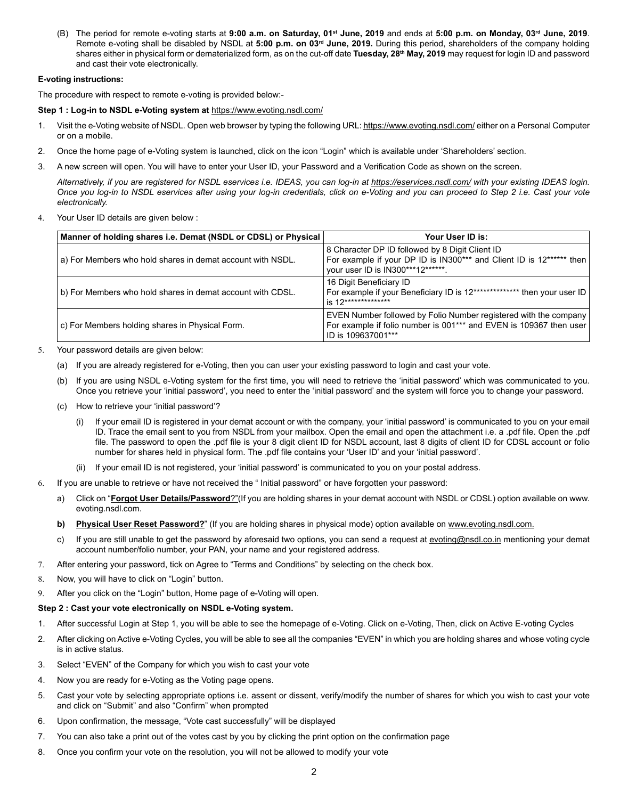(B) The period for remote e-voting starts at **9:00 a.m. on Saturday, 01st June, 2019** and ends at **5:00 p.m. on Monday, 03rd June, 2019**. Remote e-voting shall be disabled by NSDL at **5:00 p.m. on 03rd June, 2019.** During this period, shareholders of the company holding shares either in physical form or dematerialized form, as on the cut-off date **Tuesday, 28th May, 2019** may request for login ID and password and cast their vote electronically.

### **E-voting instructions:**

The procedure with respect to remote e-voting is provided below:-

#### **Step 1 : Log-in to NSDL e-Voting system at** https://www.evoting.nsdl.com/

- 1. Visit the e-Voting website of NSDL. Open web browser by typing the following URL: https://www.evoting.nsdl.com/ either on a Personal Computer or on a mobile.
- 2. Once the home page of e-Voting system is launched, click on the icon "Login" which is available under 'Shareholders' section.
- 3. A new screen will open. You will have to enter your User ID, your Password and a Verification Code as shown on the screen.

*Alternatively, if you are registered for NSDL eservices i.e. IDEAS, you can log-in at https://eservices.nsdl.com/ with your existing IDEAS login. Once you log-in to NSDL eservices after using your log-in credentials, click on e-Voting and you can proceed to Step 2 i.e. Cast your vote electronically.*

4. Your User ID details are given below :

| Manner of holding shares i.e. Demat (NSDL or CDSL) or Physical | Your User ID is:                                                                                                                                               |
|----------------------------------------------------------------|----------------------------------------------------------------------------------------------------------------------------------------------------------------|
| a) For Members who hold shares in demat account with NSDL.     | 8 Character DP ID followed by 8 Digit Client ID<br>For example if your DP ID is IN300*** and Client ID is 12****** then<br>your user ID is IN300***12******.   |
| b) For Members who hold shares in demat account with CDSL.     | 16 Digit Beneficiary ID<br>For example if your Beneficiary ID is 12************** then your user ID<br>is 12***************                                    |
| c) For Members holding shares in Physical Form.                | EVEN Number followed by Folio Number registered with the company<br>For example if folio number is 001*** and EVEN is 109367 then user<br>  ID is 109637001*** |

- 5. Your password details are given below:
	- (a) If you are already registered for e-Voting, then you can user your existing password to login and cast your vote.
	- (b) If you are using NSDL e-Voting system for the first time, you will need to retrieve the 'initial password' which was communicated to you. Once you retrieve your 'initial password', you need to enter the 'initial password' and the system will force you to change your password.
	- (c) How to retrieve your 'initial password'?
		- (i) If your email ID is registered in your demat account or with the company, your 'initial password' is communicated to you on your email ID. Trace the email sent to you from NSDL from your mailbox. Open the email and open the attachment i.e. a .pdf file. Open the .pdf file. The password to open the .pdf file is your 8 digit client ID for NSDL account, last 8 digits of client ID for CDSL account or folio number for shares held in physical form. The .pdf file contains your 'User ID' and your 'initial password'.
		- If your email ID is not registered, your 'initial password' is communicated to you on your postal address.
- 6. If you are unable to retrieve or have not received the " Initial password" or have forgotten your password:
	- a) Click on "**Forgot User Details/Password**?"(If you are holding shares in your demat account with NSDL or CDSL) option available on www. evoting.nsdl.com.
	- **b)** Physical User Reset Password?" (If you are holding shares in physical mode) option available on www.evoting.nsdl.com.
	- c) If you are still unable to get the password by aforesaid two options, you can send a request at evoting@nsdl.co.in mentioning your demat account number/folio number, your PAN, your name and your registered address.
- 7. After entering your password, tick on Agree to "Terms and Conditions" by selecting on the check box.
- 8. Now, you will have to click on "Login" button.
- 9. After you click on the "Login" button, Home page of e-Voting will open.

#### **Step 2 : Cast your vote electronically on NSDL e-Voting system.**

- 1. After successful Login at Step 1, you will be able to see the homepage of e-Voting. Click on e-Voting, Then, click on Active E-voting Cycles
- 2. After clicking on Active e-Voting Cycles, you will be able to see all the companies "EVEN" in which you are holding shares and whose voting cycle is in active status.
- 3. Select "EVEN" of the Company for which you wish to cast your vote
- 4. Now you are ready for e-Voting as the Voting page opens.
- 5. Cast your vote by selecting appropriate options i.e. assent or dissent, verify/modify the number of shares for which you wish to cast your vote and click on "Submit" and also "Confirm" when prompted
- 6. Upon confirmation, the message, "Vote cast successfully" will be displayed
- 7. You can also take a print out of the votes cast by you by clicking the print option on the confirmation page
- 8. Once you confirm your vote on the resolution, you will not be allowed to modify your vote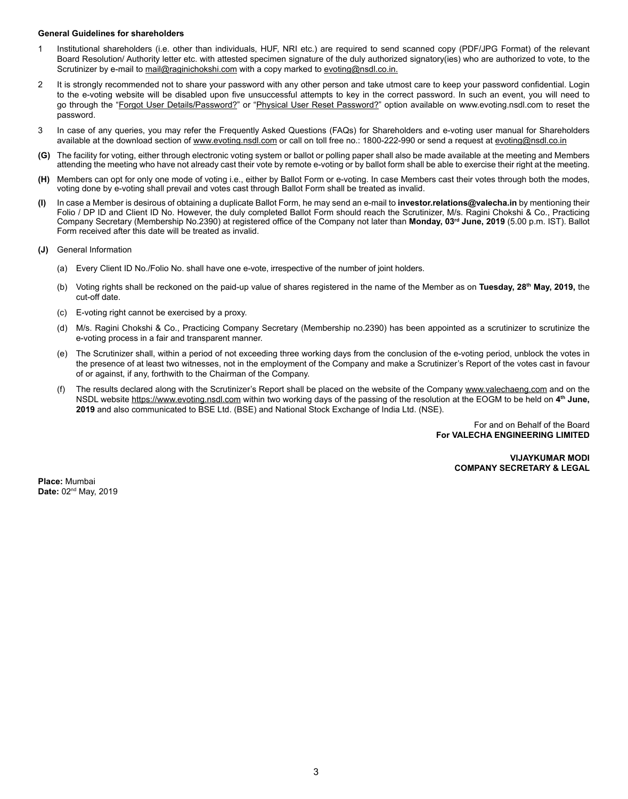#### **General Guidelines for shareholders**

- 1 Institutional shareholders (i.e. other than individuals, HUF, NRI etc.) are required to send scanned copy (PDF/JPG Format) of the relevant Board Resolution/ Authority letter etc. with attested specimen signature of the duly authorized signatory(ies) who are authorized to vote, to the Scrutinizer by e-mail to mail@raginichokshi.com with a copy marked to evoting@nsdl.co.in.
- 2 It is strongly recommended not to share your password with any other person and take utmost care to keep your password confidential. Login to the e-voting website will be disabled upon five unsuccessful attempts to key in the correct password. In such an event, you will need to go through the "Forgot User Details/Password?" or "Physical User Reset Password?" option available on www.evoting.nsdl.com to reset the password.
- 3 In case of any queries, you may refer the Frequently Asked Questions (FAQs) for Shareholders and e-voting user manual for Shareholders available at the download section of www.evoting.nsdl.com or call on toll free no.: 1800-222-990 or send a request at evoting@nsdl.co.in
- **(G)** The facility for voting, either through electronic voting system or ballot or polling paper shall also be made available at the meeting and Members attending the meeting who have not already cast their vote by remote e-voting or by ballot form shall be able to exercise their right at the meeting.
- **(H)** Members can opt for only one mode of voting i.e., either by Ballot Form or e-voting. In case Members cast their votes through both the modes, voting done by e-voting shall prevail and votes cast through Ballot Form shall be treated as invalid.
- **(I)** In case a Member is desirous of obtaining a duplicate Ballot Form, he may send an e-mail to **investor.relations@valecha.in** by mentioning their Folio / DP ID and Client ID No. However, the duly completed Ballot Form should reach the Scrutinizer, M/s. Ragini Chokshi & Co., Practicing Company Secretary (Membership No.2390) at registered office of the Company not later than **Monday, 03rd June, 2019** (5.00 p.m. IST). Ballot Form received after this date will be treated as invalid.
- **(J)** General Information
	- (a) Every Client ID No./Folio No. shall have one e-vote, irrespective of the number of joint holders.
	- (b) Voting rights shall be reckoned on the paid-up value of shares registered in the name of the Member as on **Tuesday, 28th May, 2019,** the cut-off date.
	- (c) E-voting right cannot be exercised by a proxy.
	- (d) M/s. Ragini Chokshi & Co., Practicing Company Secretary (Membership no.2390) has been appointed as a scrutinizer to scrutinize the e-voting process in a fair and transparent manner.
	- (e) The Scrutinizer shall, within a period of not exceeding three working days from the conclusion of the e-voting period, unblock the votes in the presence of at least two witnesses, not in the employment of the Company and make a Scrutinizer's Report of the votes cast in favour of or against, if any, forthwith to the Chairman of the Company.
	- (f) The results declared along with the Scrutinizer's Report shall be placed on the website of the Company www.valechaeng.com and on the NSDL website https://www.evoting.nsdl.com within two working days of the passing of the resolution at the EOGM to be held on **4th June, 2019** and also communicated to BSE Ltd. (BSE) and National Stock Exchange of India Ltd. (NSE).

For and on Behalf of the Board **For VALECHA ENGINEERING LIMITED**

> **VIJAYKUMAR MODI COMPANY SECRETARY & LEGAL**

**Place:** Mumbai **Date:** 02nd May, 2019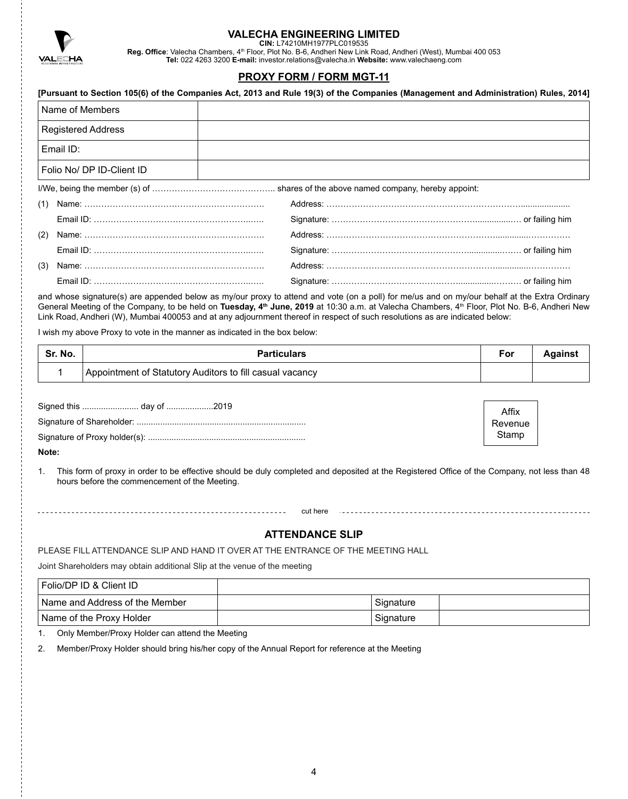

**CIN:** L74210MH1977PLC019535

**Reg. Office**: Valecha Chambers, 4th Floor, Plot No. B-6, Andheri New Link Road, Andheri (West), Mumbai 400 053 **Tel:** 022 4263 3200 **E-mail:** investor.relations@valecha.in **Website:** www.valechaeng.com

# **PROXY FORM / FORM MGT-11**

|                           | [Pursuant to Section 105(6) of the Companies Act, 2013 and Rule 19(3) of the Companies (Management and Administration) Rules, 2014] |  |
|---------------------------|-------------------------------------------------------------------------------------------------------------------------------------|--|
| Name of Members           |                                                                                                                                     |  |
| <b>Registered Address</b> |                                                                                                                                     |  |
| Email ID:                 |                                                                                                                                     |  |
| Folio No/ DP ID-Client ID |                                                                                                                                     |  |
|                           |                                                                                                                                     |  |
| (1)                       |                                                                                                                                     |  |
|                           |                                                                                                                                     |  |
| (2)                       |                                                                                                                                     |  |
|                           |                                                                                                                                     |  |
| (3)                       |                                                                                                                                     |  |
|                           |                                                                                                                                     |  |

and whose signature(s) are appended below as my/our proxy to attend and vote (on a poll) for me/us and on my/our behalf at the Extra Ordinary General Meeting of the Company, to be held on Tuesday, 4<sup>th</sup> June, 2019 at 10:30 a.m. at Valecha Chambers, 4<sup>th</sup> Floor, Plot No. B-6, Andheri New Link Road, Andheri (W), Mumbai 400053 and at any adjournment thereof in respect of such resolutions as are indicated below:

I wish my above Proxy to vote in the manner as indicated in the box below:

| Sr. No. | <b>Particulars</b>                                       | For | Against |
|---------|----------------------------------------------------------|-----|---------|
|         | Appointment of Statutory Auditors to fill casual vacancy |     |         |

Affix Revenue Stamp

**Note:**

1. This form of proxy in order to be effective should be duly completed and deposited at the Registered Office of the Company, not less than 48 hours before the commencement of the Meeting.

## **ATTENDANCE SLIP**

PLEASE FILL ATTENDANCE SLIP AND HAND IT OVER AT THE ENTRANCE OF THE MEETING HALL

Joint Shareholders may obtain additional Slip at the venue of the meeting

| Folio/DP ID & Client ID          |           |  |
|----------------------------------|-----------|--|
| I Name and Address of the Member | Signature |  |
| Name of the Proxy Holder         | Signature |  |

1. Only Member/Proxy Holder can attend the Meeting

2. Member/Proxy Holder should bring his/her copy of the Annual Report for reference at the Meeting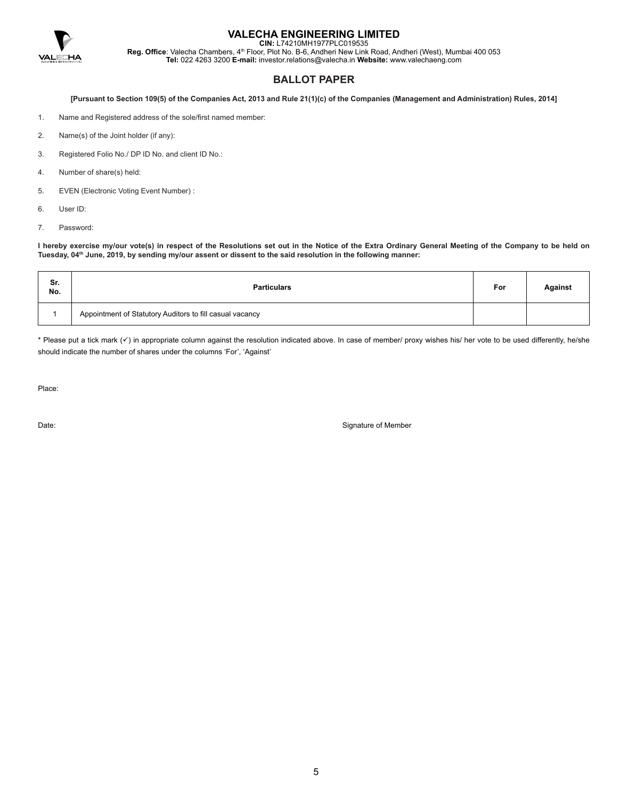

**CIN:** L74210MH1977PLC019535

**Reg. Office**: Valecha Chambers, 4th Floor, Plot No. B-6, Andheri New Link Road, Andheri (West), Mumbai 400 053 **Tel:** 022 4263 3200 **E-mail:** investor.relations@valecha.in **Website:** www.valechaeng.com

## **BALLOT PAPER**

**[Pursuant to Section 109(5) of the Companies Act, 2013 and Rule 21(1)(c) of the Companies (Management and Administration) Rules, 2014]**

- 1. Name and Registered address of the sole/first named member:
- 2. Name(s) of the Joint holder (if any):
- 3. Registered Folio No./ DP ID No. and client ID No.:
- 4. Number of share(s) held:
- 5. EVEN (Electronic Voting Event Number) :
- 6. User ID:
- 7. Password:

**I hereby exercise my/our vote(s) in respect of the Resolutions set out in the Notice of the Extra Ordinary General Meeting of the Company to be held on Tuesday, 04th June, 2019, by sending my/our assent or dissent to the said resolution in the following manner:**

| Sr.<br>No. | <b>Particulars</b>                                       | For | <b>Against</b> |
|------------|----------------------------------------------------------|-----|----------------|
|            | Appointment of Statutory Auditors to fill casual vacancy |     |                |

\* Please put a tick mark (v) in appropriate column against the resolution indicated above. In case of member/ proxy wishes his/ her vote to be used differently, he/she should indicate the number of shares under the columns 'For', 'Against'

Place:

Date: Signature of Member